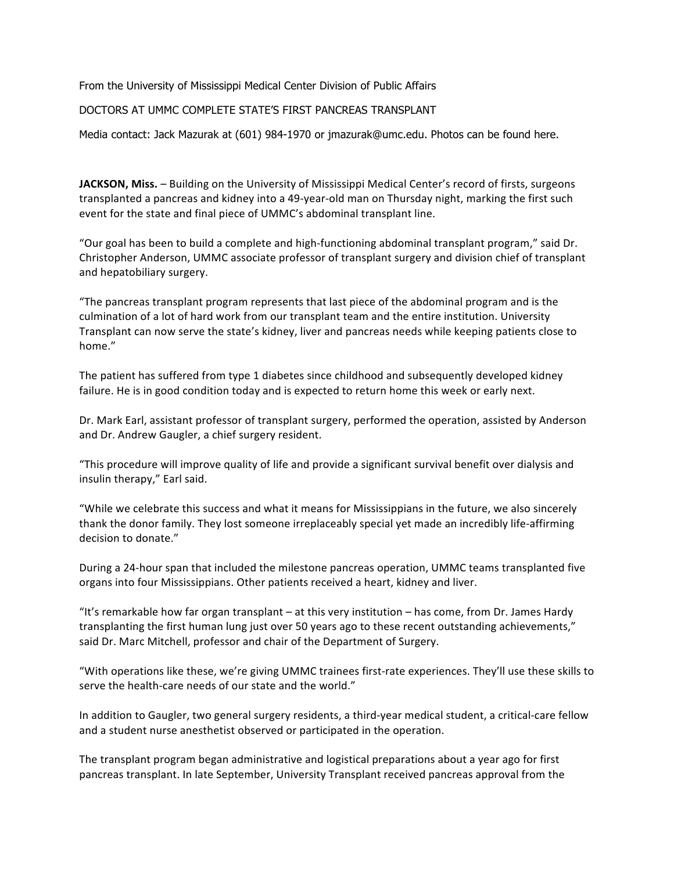From the University of Mississippi Medical Center Division of Public Affairs

DOCTORS AT UMMC COMPLETE STATE'S FIRST PANCREAS TRANSPLANT

Media contact: Jack Mazurak at (601) 984-1970 or jmazurak@umc.edu. Photos can be found here.

**JACKSON, Miss.** – Building on the University of Mississippi Medical Center's record of firsts, surgeons transplanted a pancreas and kidney into a 49‐year‐old man on Thursday night, marking the first such event for the state and final piece of UMMC's abdominal transplant line.

"Our goal has been to build a complete and high‐functioning abdominal transplant program," said Dr. Christopher Anderson, UMMC associate professor of transplant surgery and division chief of transplant and hepatobiliary surgery.

"The pancreas transplant program represents that last piece of the abdominal program and is the culmination of a lot of hard work from our transplant team and the entire institution. University Transplant can now serve the state's kidney, liver and pancreas needs while keeping patients close to home."

The patient has suffered from type 1 diabetes since childhood and subsequently developed kidney failure. He is in good condition today and is expected to return home this week or early next.

Dr. Mark Earl, assistant professor of transplant surgery, performed the operation, assisted by Anderson and Dr. Andrew Gaugler, a chief surgery resident.

"This procedure will improve quality of life and provide a significant survival benefit over dialysis and insulin therapy," Earl said.

"While we celebrate this success and what it means for Mississippians in the future, we also sincerely thank the donor family. They lost someone irreplaceably special yet made an incredibly life‐affirming decision to donate."

During a 24‐hour span that included the milestone pancreas operation, UMMC teams transplanted five organs into four Mississippians. Other patients received a heart, kidney and liver.

"It's remarkable how far organ transplant – at this very institution – has come, from Dr. James Hardy transplanting the first human lung just over 50 years ago to these recent outstanding achievements," said Dr. Marc Mitchell, professor and chair of the Department of Surgery.

"With operations like these, we're giving UMMC trainees first‐rate experiences. They'll use these skills to serve the health-care needs of our state and the world."

In addition to Gaugler, two general surgery residents, a third-year medical student, a critical-care fellow and a student nurse anesthetist observed or participated in the operation.

The transplant program began administrative and logistical preparations about a year ago for first pancreas transplant. In late September, University Transplant received pancreas approval from the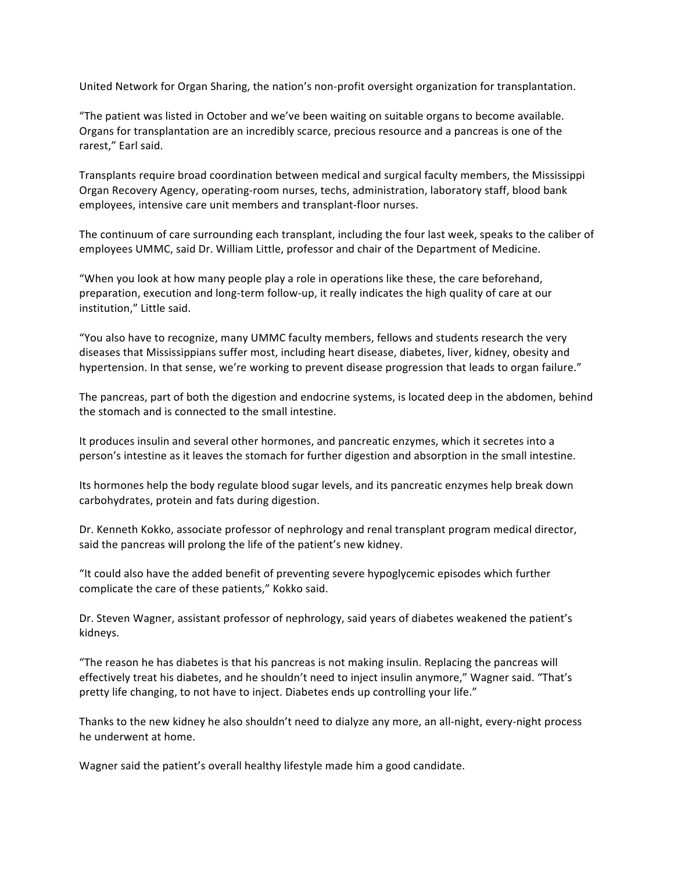United Network for Organ Sharing, the nation's non‐profit oversight organization for transplantation.

"The patient was listed in October and we've been waiting on suitable organs to become available. Organs for transplantation are an incredibly scarce, precious resource and a pancreas is one of the rarest," Earl said.

Transplants require broad coordination between medical and surgical faculty members, the Mississippi Organ Recovery Agency, operating‐room nurses, techs, administration, laboratory staff, blood bank employees, intensive care unit members and transplant‐floor nurses.

The continuum of care surrounding each transplant, including the four last week, speaks to the caliber of employees UMMC, said Dr. William Little, professor and chair of the Department of Medicine.

"When you look at how many people play a role in operations like these, the care beforehand, preparation, execution and long‐term follow‐up, it really indicates the high quality of care at our institution," Little said.

"You also have to recognize, many UMMC faculty members, fellows and students research the very diseases that Mississippians suffer most, including heart disease, diabetes, liver, kidney, obesity and hypertension. In that sense, we're working to prevent disease progression that leads to organ failure."

The pancreas, part of both the digestion and endocrine systems, is located deep in the abdomen, behind the stomach and is connected to the small intestine.

It produces insulin and several other hormones, and pancreatic enzymes, which it secretes into a person's intestine as it leaves the stomach for further digestion and absorption in the small intestine.

Its hormones help the body regulate blood sugar levels, and its pancreatic enzymes help break down carbohydrates, protein and fats during digestion.

Dr. Kenneth Kokko, associate professor of nephrology and renal transplant program medical director, said the pancreas will prolong the life of the patient's new kidney.

"It could also have the added benefit of preventing severe hypoglycemic episodes which further complicate the care of these patients," Kokko said.

Dr. Steven Wagner, assistant professor of nephrology, said years of diabetes weakened the patient's kidneys.

"The reason he has diabetes is that his pancreas is not making insulin. Replacing the pancreas will effectively treat his diabetes, and he shouldn't need to inject insulin anymore," Wagner said. "That's pretty life changing, to not have to inject. Diabetes ends up controlling your life."

Thanks to the new kidney he also shouldn't need to dialyze any more, an all‐night, every‐night process he underwent at home.

Wagner said the patient's overall healthy lifestyle made him a good candidate.